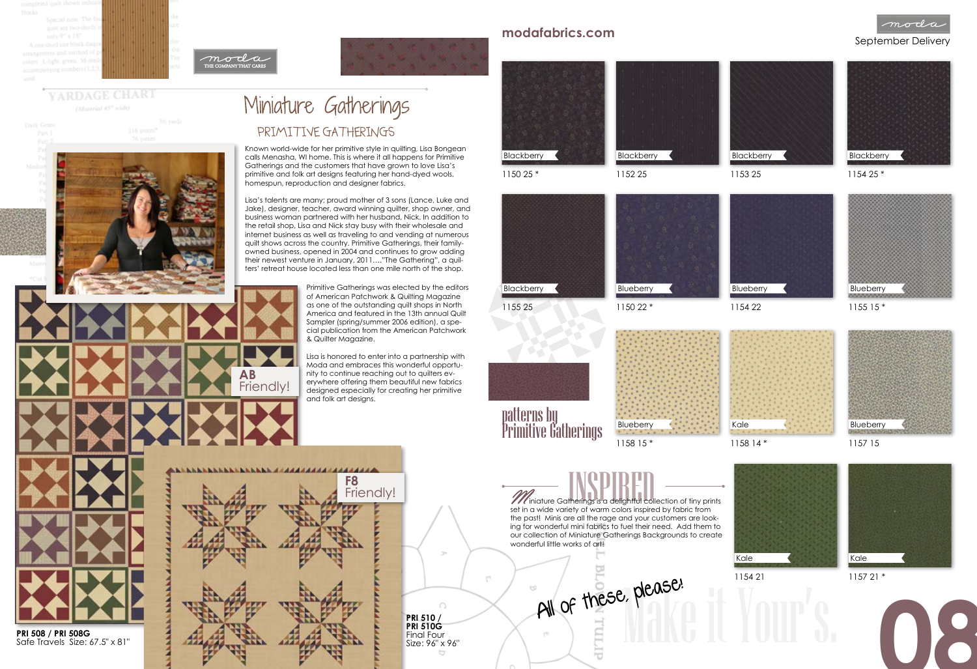Primitive Gatherings was elected by the editors of American Patchwork & Quilting Magazine as one of the outstanding quilt shops in North America and featured in the 13th annual Quilt Sampler (spring/summer 2006 edition), a special publication from the American Patchwork & Quilter Magazine.

Lisa is honored to enter into a partnership with Moda and embraces this wonderful opportunity to continue reaching out to quilters everywhere offering them beautiful new fabrics designed especially for creating her primitive and folk art designs.

## September Delivery **modafabrics.com**



## YARDAGE CHART (Material 45" wide)

# Miniature Gatherings

## PRIMITIVE GATHERINGS

Known world-wide for her primitive style in quilting, Lisa Bongean calls Menasha, WI home. This is where it all happens for Primitive Gatherings and the customers that have grown to love Lisa's primitive and folk art designs featuring her hand-dyed wools, homespun, reproduction and designer fabrics.

> **PRI 510 / PRI 510G**  Final Four<br>Size: 96" x 96"



Lisa's talents are many; proud mother of 3 sons (Lance, Luke and Jake), designer, teacher, award winning quilter, shop owner, and business woman partnered with her husband, Nick. In addition to the retail shop, Lisa and Nick stay busy with their wholesale and internet business as well as traveling to and vending at numerous quilt shows across the country. Primitive Gatherings, their familyowned business, opened in 2004 and continues to grow adding their newest venture in January, 2011…."The Gathering", a quilters' retreat house located less than one mile north of the shop.

**PRI 508 / PRI 508G**  Safe Travels Size: 67.5" x 81"



1150 25 \*



1155 25



Primitive Gatherings



**W** iniature Gatherings is a delightful collection of tiny prints set in a wide variety of warm colors inspired by fabric from the past! Minis are all the rage and your customers are looking for wonderful mini fabrics to fuel their need. Add them to our collection of Miniature Gatherings Backgrounds to create wonderful little works of art!

**AB**

Friendly!